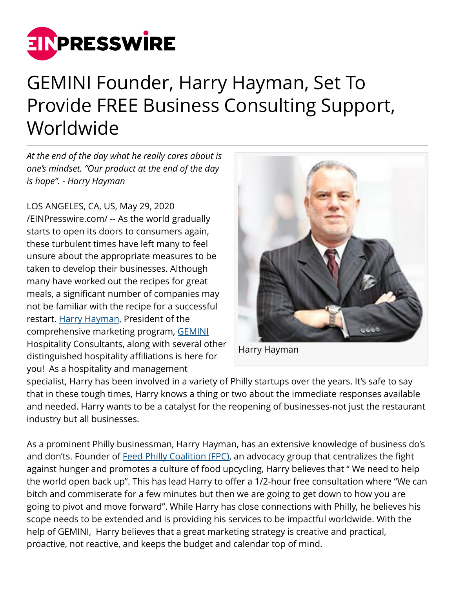

## GEMINI Founder, Harry Hayman, Set To Provide FREE Business Consulting Support, Worldwide

*At the end of the day what he really cares about is one's mindset. "Our product at the end of the day is hope". - Harry Hayman*

LOS ANGELES, CA, US, May 29, 2020 [/EINPresswire.com/](http://www.einpresswire.com) -- As the world gradually starts to open its doors to consumers again, these turbulent times have left many to feel unsure about the appropriate measures to be taken to develop their businesses. Although many have worked out the recipes for great meals, a significant number of companies may not be familiar with the recipe for a successful restart. [Harry Hayman,](https://harryhayman.com/) President of the comprehensive marketing program, [GEMINI](https://www.geminihospitalityconsultants.com/) Hospitality Consultants, along with several other distinguished hospitality affiliations is here for you! As a hospitality and management



Harry Hayman

specialist, Harry has been involved in a variety of Philly startups over the years. It's safe to say that in these tough times, Harry knows a thing or two about the immediate responses available and needed. Harry wants to be a catalyst for the reopening of businesses-not just the restaurant industry but all businesses.

As a prominent Philly businessman, Harry Hayman, has an extensive knowledge of business do's and don'ts. Founder of [Feed Philly Coalition \(FPC\),](https://feedphillycoalition.com/) an advocacy group that centralizes the fight against hunger and promotes a culture of food upcycling, Harry believes that " We need to help the world open back up". This has lead Harry to offer a 1/2-hour free consultation where "We can bitch and commiserate for a few minutes but then we are going to get down to how you are going to pivot and move forward". While Harry has close connections with Philly, he believes his scope needs to be extended and is providing his services to be impactful worldwide. With the help of GEMINI, Harry believes that a great marketing strategy is creative and practical, proactive, not reactive, and keeps the budget and calendar top of mind.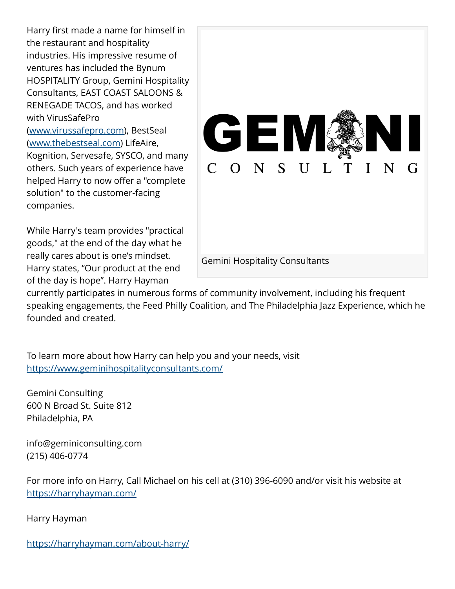Harry first made a name for himself in the restaurant and hospitality industries. His impressive resume of ventures has included the Bynum HOSPITALITY Group, Gemini Hospitality Consultants, EAST COAST SALOONS & RENEGADE TACOS, and has worked with VirusSafePro

([www.virussafepro.com\)](http://www.virussafepro.com), BestSeal ([www.thebestseal.com](http://www.thebestseal.com)) LifeAire, Kognition, Servesafe, SYSCO, and many others. Such years of experience have helped Harry to now offer a "complete solution" to the customer-facing companies.

While Harry's team provides "practical goods," at the end of the day what he really cares about is one's mindset. Harry states, "Our product at the end of the day is hope". Harry Hayman



currently participates in numerous forms of community involvement, including his frequent speaking engagements, the Feed Philly Coalition, and The Philadelphia Jazz Experience, which he founded and created.

To learn more about how Harry can help you and your needs, visit <https://www.geminihospitalityconsultants.com/>

Gemini Consulting 600 N Broad St. Suite 812 Philadelphia, PA

info@geminiconsulting.com (215) 406-0774

For more info on Harry, Call Michael on his cell at (310) 396-6090 and/or visit his website at <https://harryhayman.com/>

Harry Hayman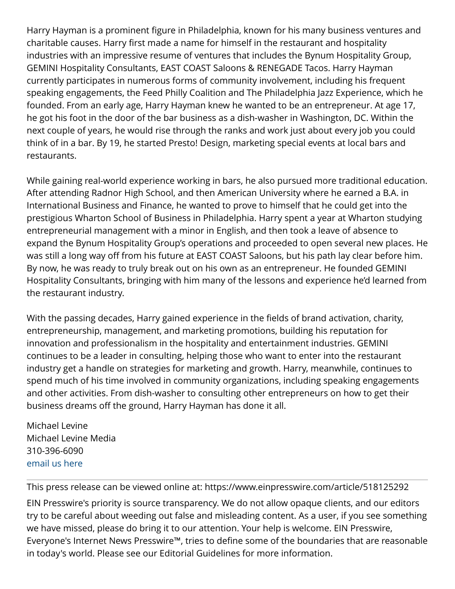Harry Hayman is a prominent figure in Philadelphia, known for his many business ventures and charitable causes. Harry first made a name for himself in the restaurant and hospitality industries with an impressive resume of ventures that includes the Bynum Hospitality Group, GEMINI Hospitality Consultants, EAST COAST Saloons & RENEGADE Tacos. Harry Hayman currently participates in numerous forms of community involvement, including his frequent speaking engagements, the Feed Philly Coalition and The Philadelphia Jazz Experience, which he founded. From an early age, Harry Hayman knew he wanted to be an entrepreneur. At age 17, he got his foot in the door of the bar business as a dish-washer in Washington, DC. Within the next couple of years, he would rise through the ranks and work just about every job you could think of in a bar. By 19, he started Presto! Design, marketing special events at local bars and restaurants.

While gaining real-world experience working in bars, he also pursued more traditional education. After attending Radnor High School, and then American University where he earned a B.A. in International Business and Finance, he wanted to prove to himself that he could get into the prestigious Wharton School of Business in Philadelphia. Harry spent a year at Wharton studying entrepreneurial management with a minor in English, and then took a leave of absence to expand the Bynum Hospitality Group's operations and proceeded to open several new places. He was still a long way off from his future at EAST COAST Saloons, but his path lay clear before him. By now, he was ready to truly break out on his own as an entrepreneur. He founded GEMINI Hospitality Consultants, bringing with him many of the lessons and experience he'd learned from the restaurant industry.

With the passing decades, Harry gained experience in the fields of brand activation, charity, entrepreneurship, management, and marketing promotions, building his reputation for innovation and professionalism in the hospitality and entertainment industries. GEMINI continues to be a leader in consulting, helping those who want to enter into the restaurant industry get a handle on strategies for marketing and growth. Harry, meanwhile, continues to spend much of his time involved in community organizations, including speaking engagements and other activities. From dish-washer to consulting other entrepreneurs on how to get their business dreams off the ground, Harry Hayman has done it all.

Michael Levine Michael Levine Media 310-396-6090 [email us here](http://www.einpresswire.com/contact_author/2859254)

This press release can be viewed online at: <https://www.einpresswire.com/article/518125292>

EIN Presswire's priority is source transparency. We do not allow opaque clients, and our editors try to be careful about weeding out false and misleading content. As a user, if you see something we have missed, please do bring it to our attention. Your help is welcome. EIN Presswire, Everyone's Internet News Presswire™, tries to define some of the boundaries that are reasonable in today's world. Please see our [Editorial Guidelines](https://www.einpresswire.com/editorial-guidelines) for more information.